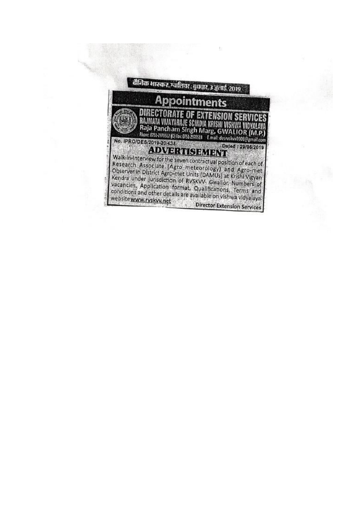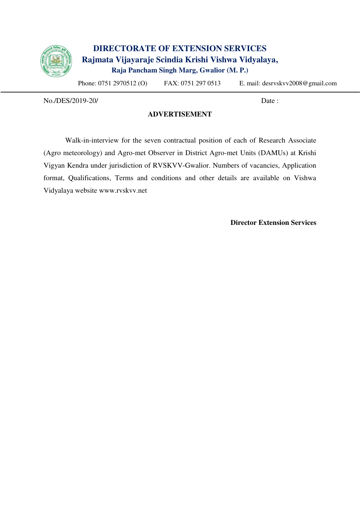

## **DIRECTORATE OF EXTENSION SERVICES Rajmata Vijayaraje Scindia Krishi Vishwa Vidyalaya, Raja Pancham Singh Marg, Gwalior (M. P.)**

Phone: 0751 2970512 (O) FAX: 0751 297 0513 E. mail: desrvskvv2008@gmail.com

No./DES/2019-20/ Date :

#### **ADVERTISEMENT**

Walk-in-interview for the seven contractual position of each of Research Associate (Agro meteorology) and Agro-met Observer in District Agro-met Units (DAMUs) at Krishi Vigyan Kendra under jurisdiction of RVSKVV-Gwalior. Numbers of vacancies, Application format, Qualifications, Terms and conditions and other details are available on Vishwa Vidyalaya website www.rvskvv.net

**Director Extension Services**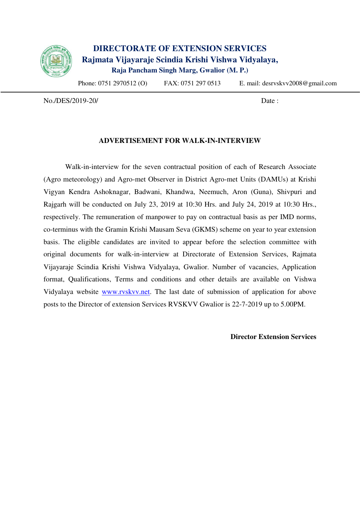

## **DIRECTORATE OF EXTENSION SERVICES Rajmata Vijayaraje Scindia Krishi Vishwa Vidyalaya, Raja Pancham Singh Marg, Gwalior (M. P.)**

Phone: 0751 2970512 (O) FAX: 0751 297 0513 E. mail: desrvskvv2008@gmail.com

No./DES/2019-20/ Date :

#### **ADVERTISEMENT FOR WALK-IN-INTERVIEW**

Walk-in-interview for the seven contractual position of each of Research Associate (Agro meteorology) and Agro-met Observer in District Agro-met Units (DAMUs) at Krishi Vigyan Kendra Ashoknagar, Badwani, Khandwa, Neemuch, Aron (Guna), Shivpuri and Rajgarh will be conducted on July 23, 2019 at 10:30 Hrs. and July 24, 2019 at 10:30 Hrs., respectively. The remuneration of manpower to pay on contractual basis as per IMD norms, co-terminus with the Gramin Krishi Mausam Seva (GKMS) scheme on year to year extension basis. The eligible candidates are invited to appear before the selection committee with original documents for walk-in-interview at Directorate of Extension Services, Rajmata Vijayaraje Scindia Krishi Vishwa Vidyalaya, Gwalior. Number of vacancies, Application format, Qualifications, Terms and conditions and other details are available on Vishwa Vidyalaya website [www.rvskvv.net.](http://www.rvskvv.net/) The last date of submission of application for above posts to the Director of extension Services RVSKVV Gwalior is 22-7-2019 up to 5.00PM.

**Director Extension Services**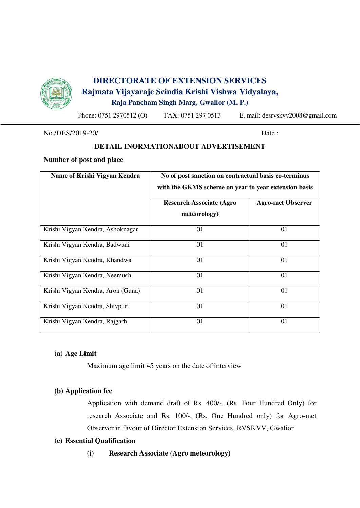

## **DIRECTORATE OF EXTENSION SERVICES Rajmata Vijayaraje Scindia Krishi Vishwa Vidyalaya, Raja Pancham Singh Marg, Gwalior (M. P.)**

Phone: 0751 2970512 (O) FAX: 0751 297 0513 E. mail: desrvskvv2008@gmail.com

No./DES/2019-20/ Date :

## **DETAIL INORMATIONABOUT ADVERTISEMENT**

#### **Number of post and place**

| Name of Krishi Vigyan Kendra      | No of post sanction on contractual basis co-terminus<br>with the GKMS scheme on year to year extension basis |                          |  |  |
|-----------------------------------|--------------------------------------------------------------------------------------------------------------|--------------------------|--|--|
|                                   | <b>Research Associate (Agro</b><br>meteorology)                                                              | <b>Agro-met Observer</b> |  |  |
| Krishi Vigyan Kendra, Ashoknagar  | 01                                                                                                           | 01                       |  |  |
| Krishi Vigyan Kendra, Badwani     | 01                                                                                                           | 01                       |  |  |
| Krishi Vigyan Kendra, Khandwa     | 01                                                                                                           | 01                       |  |  |
| Krishi Vigyan Kendra, Neemuch     | 01                                                                                                           | 01                       |  |  |
| Krishi Vigyan Kendra, Aron (Guna) | 01                                                                                                           | 01                       |  |  |
| Krishi Vigyan Kendra, Shivpuri    | 01                                                                                                           | 01                       |  |  |
| Krishi Vigyan Kendra, Rajgarh     | 01                                                                                                           | 01                       |  |  |

#### **(a) Age Limit**

Maximum age limit 45 years on the date of interview

### **(b) Application fee**

Application with demand draft of Rs. 400/-, (Rs. Four Hundred Only) for research Associate and Rs. 100/-, (Rs. One Hundred only) for Agro-met Observer in favour of Director Extension Services, RVSKVV, Gwalior

#### **(c) Essential Qualification**

**(i) Research Associate (Agro meteorology)**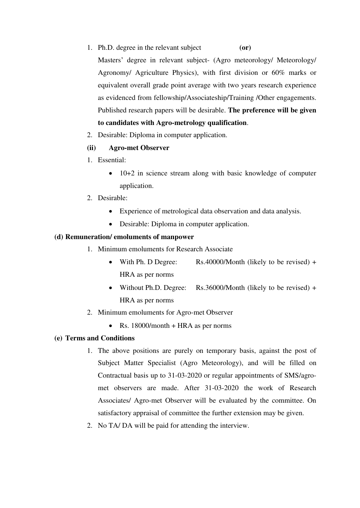- 1. Ph.D. degree in the relevant subject **(or)** Masters' degree in relevant subject- (Agro meteorology/ Meteorology/ Agronomy/ Agriculture Physics), with first division or 60% marks or equivalent overall grade point average with two years research experience as evidenced from fellowship/Associateship/Training /Other engagements. Published research papers will be desirable. **The preference will be given to candidates with Agro-metrology qualification**.
- 2. Desirable: Diploma in computer application.

#### **(ii) Agro-met Observer**

- 1. Essential:
	- 10+2 in science stream along with basic knowledge of computer application.
- 2. Desirable:
	- Experience of metrological data observation and data analysis.
	- Desirable: Diploma in computer application.

#### **(d) Remuneration/ emoluments of manpower**

- 1. Minimum emoluments for Research Associate
	- With Ph. D Degree: Rs.40000/Month (likely to be revised) + HRA as per norms
	- Without Ph.D. Degree: Rs.36000/Month (likely to be revised) + HRA as per norms
- 2. Minimum emoluments for Agro-met Observer
	- Rs. 18000/month + HRA as per norms

#### **(e) Terms and Conditions**

- 1. The above positions are purely on temporary basis, against the post of Subject Matter Specialist (Agro Meteorology), and will be filled on Contractual basis up to 31-03-2020 or regular appointments of SMS/agromet observers are made. After 31-03-2020 the work of Research Associates/ Agro-met Observer will be evaluated by the committee. On satisfactory appraisal of committee the further extension may be given.
- 2. No TA/ DA will be paid for attending the interview.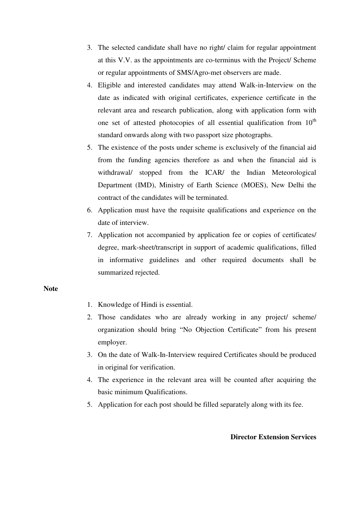- 3. The selected candidate shall have no right/ claim for regular appointment at this V.V. as the appointments are co-terminus with the Project/ Scheme or regular appointments of SMS/Agro-met observers are made.
- 4. Eligible and interested candidates may attend Walk-in-Interview on the date as indicated with original certificates, experience certificate in the relevant area and research publication, along with application form with one set of attested photocopies of all essential qualification from  $10<sup>th</sup>$ standard onwards along with two passport size photographs.
- 5. The existence of the posts under scheme is exclusively of the financial aid from the funding agencies therefore as and when the financial aid is withdrawal/ stopped from the ICAR/ the Indian Meteorological Department (IMD), Ministry of Earth Science (MOES), New Delhi the contract of the candidates will be terminated.
- 6. Application must have the requisite qualifications and experience on the date of interview.
- 7. Application not accompanied by application fee or copies of certificates/ degree, mark-sheet/transcript in support of academic qualifications, filled in informative guidelines and other required documents shall be summarized rejected.

#### **Note**

- 1. Knowledge of Hindi is essential.
- 2. Those candidates who are already working in any project/ scheme/ organization should bring "No Objection Certificate" from his present employer.
- 3. On the date of Walk-In-Interview required Certificates should be produced in original for verification.
- 4. The experience in the relevant area will be counted after acquiring the basic minimum Qualifications.
- 5. Application for each post should be filled separately along with its fee.

#### **Director Extension Services**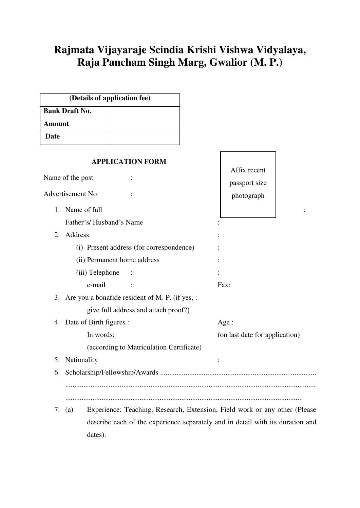# **Rajmata Vijayaraje Scindia Krishi Vishwa Vidyalaya, Raja Pancham Singh Marg, Gwalior (M. P.)**

| <b>Bank Draft No.</b><br><b>Amount</b><br>Date<br><b>APPLICATION FORM</b><br>Affix recent<br>Name of the post<br>passport size<br>Advertisement No<br>photograph<br>1. Name of full<br>Father's/Husband's Name<br>2. Address<br>(i) Present address (for correspondence)<br>(ii) Permanent home address<br>(iii) Telephone<br>e-mail<br>Fax:<br>3. Are you a bonafide resident of M. P. (if yes, :<br>give full address and attach proof?)<br>4. Date of Birth figures :<br>Age:<br>In words:<br>(on last date for application)<br>(according to Matriculation Certificate)<br><b>Nationality</b><br>5.<br>6. | (Details of application fee)                                                         |  |
|---------------------------------------------------------------------------------------------------------------------------------------------------------------------------------------------------------------------------------------------------------------------------------------------------------------------------------------------------------------------------------------------------------------------------------------------------------------------------------------------------------------------------------------------------------------------------------------------------------------|--------------------------------------------------------------------------------------|--|
|                                                                                                                                                                                                                                                                                                                                                                                                                                                                                                                                                                                                               |                                                                                      |  |
|                                                                                                                                                                                                                                                                                                                                                                                                                                                                                                                                                                                                               |                                                                                      |  |
|                                                                                                                                                                                                                                                                                                                                                                                                                                                                                                                                                                                                               |                                                                                      |  |
|                                                                                                                                                                                                                                                                                                                                                                                                                                                                                                                                                                                                               |                                                                                      |  |
|                                                                                                                                                                                                                                                                                                                                                                                                                                                                                                                                                                                                               |                                                                                      |  |
|                                                                                                                                                                                                                                                                                                                                                                                                                                                                                                                                                                                                               |                                                                                      |  |
|                                                                                                                                                                                                                                                                                                                                                                                                                                                                                                                                                                                                               |                                                                                      |  |
|                                                                                                                                                                                                                                                                                                                                                                                                                                                                                                                                                                                                               |                                                                                      |  |
|                                                                                                                                                                                                                                                                                                                                                                                                                                                                                                                                                                                                               |                                                                                      |  |
|                                                                                                                                                                                                                                                                                                                                                                                                                                                                                                                                                                                                               |                                                                                      |  |
|                                                                                                                                                                                                                                                                                                                                                                                                                                                                                                                                                                                                               |                                                                                      |  |
|                                                                                                                                                                                                                                                                                                                                                                                                                                                                                                                                                                                                               |                                                                                      |  |
|                                                                                                                                                                                                                                                                                                                                                                                                                                                                                                                                                                                                               |                                                                                      |  |
|                                                                                                                                                                                                                                                                                                                                                                                                                                                                                                                                                                                                               |                                                                                      |  |
|                                                                                                                                                                                                                                                                                                                                                                                                                                                                                                                                                                                                               |                                                                                      |  |
|                                                                                                                                                                                                                                                                                                                                                                                                                                                                                                                                                                                                               |                                                                                      |  |
|                                                                                                                                                                                                                                                                                                                                                                                                                                                                                                                                                                                                               |                                                                                      |  |
|                                                                                                                                                                                                                                                                                                                                                                                                                                                                                                                                                                                                               |                                                                                      |  |
|                                                                                                                                                                                                                                                                                                                                                                                                                                                                                                                                                                                                               |                                                                                      |  |
|                                                                                                                                                                                                                                                                                                                                                                                                                                                                                                                                                                                                               |                                                                                      |  |
|                                                                                                                                                                                                                                                                                                                                                                                                                                                                                                                                                                                                               | Experience: Teaching, Research, Extension, Field work or any other (Please<br>7. (a) |  |

 describe each of the experience separately and in detail with its duration and dates).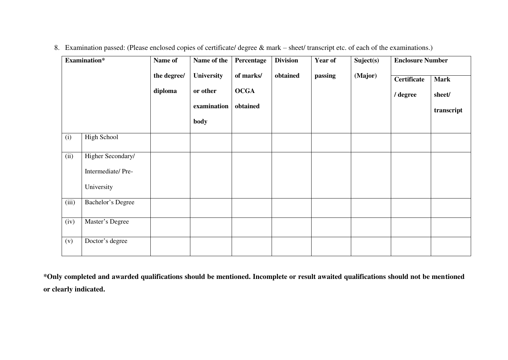|       | Examination*                                         | Name of                | Name of the                                   | Percentage                           | <b>Division</b> | Year of | Suject(s) | <b>Enclosure Number</b>        |                                     |
|-------|------------------------------------------------------|------------------------|-----------------------------------------------|--------------------------------------|-----------------|---------|-----------|--------------------------------|-------------------------------------|
|       |                                                      | the degree/<br>diploma | University<br>or other<br>examination<br>body | of marks/<br><b>OCGA</b><br>obtained | obtained        | passing | (Major)   | <b>Certificate</b><br>/ degree | <b>Mark</b><br>sheet/<br>transcript |
| (i)   | <b>High School</b>                                   |                        |                                               |                                      |                 |         |           |                                |                                     |
| (ii)  | Higher Secondary/<br>Intermediate/Pre-<br>University |                        |                                               |                                      |                 |         |           |                                |                                     |
| (iii) | <b>Bachelor's Degree</b>                             |                        |                                               |                                      |                 |         |           |                                |                                     |
| (iv)  | Master's Degree                                      |                        |                                               |                                      |                 |         |           |                                |                                     |
| (v)   | Doctor's degree                                      |                        |                                               |                                      |                 |         |           |                                |                                     |

8. Examination passed: (Please enclosed copies of certificate/ degree & mark – sheet/ transcript etc. of each of the examinations.)

**\*Only completed and awarded qualifications should be mentioned. Incomplete or result awaited qualifications should not be mentioned or clearly indicated.**